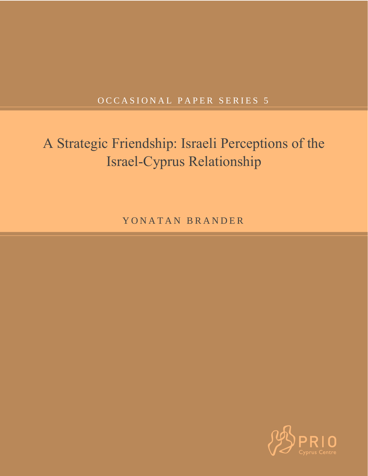# OCCASIONAL PAPER SERIES 5

# A Strategic Friendship: Israeli Perceptions of the Israel-Cyprus Relationship

YONATAN BRANDER

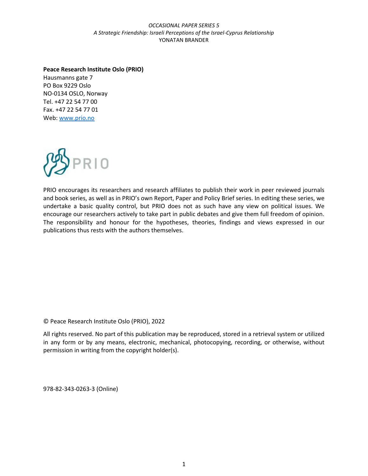### **Peace Research Institute Oslo (PRIO)**

Hausmanns gate 7 PO Box 9229 Oslo NO-0134 OSLO, Norway Tel. +47 22 54 77 00 Fax. +47 22 54 77 01 Web[: www.prio.no](http://www.prio.no/)



PRIO encourages its researchers and research affiliates to publish their work in peer reviewed journals and book series, as well as in PRIO's own Report, Paper and Policy Brief series. In editing these series, we undertake a basic quality control, but PRIO does not as such have any view on political issues. We encourage our researchers actively to take part in public debates and give them full freedom of opinion. The responsibility and honour for the hypotheses, theories, findings and views expressed in our publications thus rests with the authors themselves.

© Peace Research Institute Oslo (PRIO), 2022

All rights reserved. No part of this publication may be reproduced, stored in a retrieval system or utilized in any form or by any means, electronic, mechanical, photocopying, recording, or otherwise, without permission in writing from the copyright holder(s).

978-82-343-0263-3 (Online)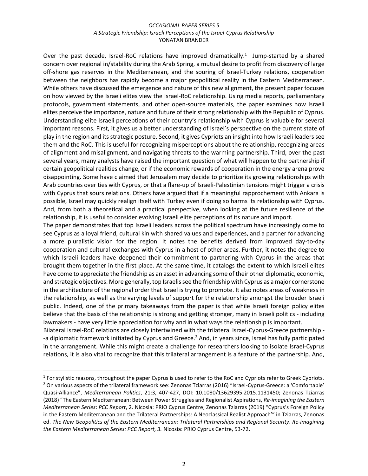Over the past decade, Israel-RoC relations have improved dramatically.<sup>1</sup> Jump-started by a shared concern over regional in/stability during the Arab Spring, a mutual desire to profit from discovery of large off-shore gas reserves in the Mediterranean, and the souring of Israel-Turkey relations, cooperation between the neighbors has rapidly become a major geopolitical reality in the Eastern Mediterranean. While others have discussed the emergence and nature of this new alignment, the present paper focuses on how viewed by the Israeli elites view the Israel-RoC relationship. Using media reports, parliamentary protocols, government statements, and other open-source materials, the paper examines how Israeli elites perceive the importance, nature and future of their strong relationship with the Republic of Cyprus. Understanding elite Israeli perceptions of their country's relationship with Cyprus is valuable for several important reasons. First, it gives us a better understanding of Israel's perspective on the current state of play in the region and its strategic posture. Second, it gives Cypriots an insight into how Israeli leaders see them and the RoC. This is useful for recognizing misperceptions about the relationship, recognizing areas of alignment and misalignment, and navigating threats to the warming partnership. Third, over the past several years, many analysts have raised the important question of what will happen to the partnership if certain geopolitical realities change, or if the economic rewards of cooperation in the energy arena prove disappointing. Some have claimed that Jerusalem may decide to prioritize its growing relationships with Arab countries over ties with Cyprus, or that a flare-up of Israeli-Palestinian tensions might trigger a crisis with Cyprus that sours relations. Others have argued that if a meaningful rapprochement with Ankara is possible, Israel may quickly realign itself with Turkey even if doing so harms its relationship with Cyprus. And, from both a theoretical and a practical perspective, when looking at the future resilience of the relationship, it is useful to consider evolving Israeli elite perceptions of its nature and import.

The paper demonstrates that top Israeli leaders across the political spectrum have increasingly come to see Cyprus as a loyal friend, cultural kin with shared values and experiences, and a partner for advancing a more pluralistic vision for the region. It notes the benefits derived from improved day-to-day cooperation and cultural exchanges with Cyprus in a host of other areas. Further, it notes the degree to which Israeli leaders have deepened their commitment to partnering with Cyprus in the areas that brought them together in the first place. At the same time, it catalogs the extent to which Israeli elites have come to appreciate the friendship as an asset in advancing some of their other diplomatic, economic, and strategic objectives. More generally, top Israelis see the friendship with Cyprus as a major cornerstone in the architecture of the regional order that Israel is trying to promote. It also notes areas of weakness in the relationship, as well as the varying levels of support for the relationship amongst the broader Israeli public. Indeed, one of the primary takeaways from the paper is that while Israeli foreign policy elites believe that the basis of the relationship is strong and getting stronger, many in Israeli politics - including lawmakers - have very little appreciation for why and in what ways the relationship is important.

Bilateral Israel-RoC relations are closely intertwined with the trilateral Israel-Cyprus-Greece partnership - -a diplomatic framework initiated by Cyprus and Greece.<sup>2</sup> And, in years since, Israel has fully participated in the arrangement. While this might create a challenge for researchers looking to isolate Israel-Cyprus relations, it is also vital to recognize that this trilateral arrangement is a feature of the partnership. And,

 $1$  For stylistic reasons, throughout the paper Cyprus is used to refer to the RoC and Cypriots refer to Greek Cypriots. <sup>2</sup> On various aspects of the trilateral framework see: Zenonas Tziarras (2016) "Israel-Cyprus-Greece: a 'Comfortable' Quasi-Alliance", *Mediterranean Politics*, 21:3, 407-427, DOI: 10.1080/13629395.2015.1131450; Zenonas Tziarras (2018) "The Eastern Mediterranean: Between Power Struggles and Regionalist Aspirations, *Re-imagining the Eastern Mediterranean Series*: *PCC Report*, 2. Nicosia: PRIO Cyprus Centre; Zenonas Tziarras (2019) "Cyprus's Foreign Policy in the Eastern Mediterranean and the Trilateral Partnerships: A Neoclassical Realist Approach'" in Tziarras, Zenonas ed. *The New Geopolitics of the Eastern Mediterranean: Trilateral Partnerships and Regional Security*. *Re-imagining the Eastern Mediterranean Series: PCC Report, 3.* Nicosia: PRIO Cyprus Centre, 53-72.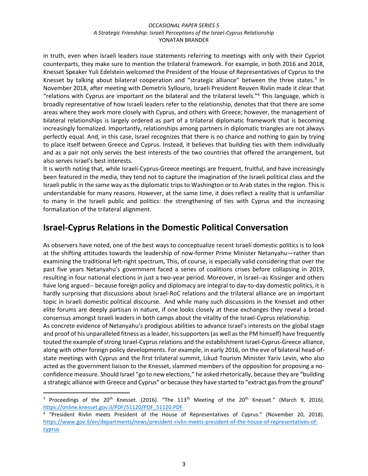in truth, even when Israeli leaders issue statements referring to meetings with only with their Cypriot counterparts, they make sure to mention the trilateral framework. For example, in both 2016 and 2018, Knesset Speaker Yuli Edelstein welcomed the President of the House of Representatives of Cyprus to the Knesset by talking about bilateral cooperation and "strategic alliance" between the three states.<sup>3</sup> In November 2018, after meeting with Demetris Syllouris, Israeli President Reuven Rivlin made it clear that "relations with Cyprus are important on the bilateral and the trilateral levels."<sup>4</sup> This language, which is broadly representative of how Israeli leaders refer to the relationship, denotes that that there are some areas where they work more closely with Cyprus, and others with Greece; however, the management of bilateral relationships is largely ordered as part of a trilateral diplomatic framework that is becoming increasingly formalized. Importantly, relationships among partners in diplomatic triangles are not always perfectly equal. And, in this case, Israel recognizes that there is no chance and nothing to gain by trying to place itself between Greece and Cyprus. Instead, it believes that building ties with them individually and as a pair not only serves the best interests of the two countries that offered the arrangement, but also serves Israel's best interests.

It is worth noting that, while Israeli-Cyprus-Greece meetings are frequent, fruitful, and have increasingly been featured in the media, they tend not to capture the imagination of the Israeli political class and the Israeli public in the same way as the diplomatic trips to Washington or to Arab states in the region. This is understandable for many reasons. However, at the same time, it does reflect a reality that is unfamiliar to many in the Israeli public and politics: the strengthening of ties with Cyprus and the increasing formalization of the trilateral alignment.

### **Israel-Cyprus Relations in the Domestic Political Conversation**

As observers have noted, one of the best ways to conceptualize recent Israeli domestic politics is to look at the shifting attitudes towards the leadership of now-former Prime Minister Netanyahu—rather than examining the traditional left-right spectrum, This, of course, is especially valid considering that over the past five years Netanyahu's government faced a series of coalitions crises before collapsing in 2019, resulting in four national elections in just a two-year period. Moreover, in Israel--as Kissinger and others have long argued-- because foreign policy and diplomacy are integral to day-to-day domestic politics, it is hardly surprising that discussions about Israel-RoC relations and the trilateral alliance are an important topic in Israeli domestic political discourse. And while many such discussions in the Knesset and other elite forums are deeply partisan in nature, if one looks closely at these exchanges they reveal a broad consensus amongst Israeli leaders in both camps about the vitality of the Israel-Cyprus relationship. As concrete evidence of Netanyahu's prodigious abilities to advance Israel's interests on the global stage

and proof of his unparalleled fitness as a leader, his supporters (as well as the PM himself) have frequently touted the example of strong Israel-Cyprus relations and the establishment Israel-Cyprus-Greece alliance, along with other foreign policy developments. For example, in early 2016, on the eve of bilateral head-ofstate meetings with Cyprus and the first trilateral summit, Likud Tourism Minister Yariv Levin, who also acted as the government liaison to the Knesset, slammed members of the opposition for proposing a noconfidence measure. Should Israel "go to new elections," he asked rhetorically, because they are "building a strategic alliance with Greece and Cyprus" or because they have started to "extract gas from the ground"

<sup>&</sup>lt;sup>3</sup> Proceedings of the 20<sup>th</sup> Knesset. (2016). "The 113<sup>th</sup> Meeting of the 20<sup>th</sup> Knesset." (March 9, 2016). [https://online.knesset.gov.il/PDF/51120/PDF\\_51120.PDF](https://online.knesset.gov.il/PDF/51120/PDF_51120.PDF)

<sup>4</sup> "President Rivlin meets President of the House of Representatives of Cyprus." (November 20, 2018). [https://www.gov.il/en/departments/news/president-rivlin-meets-president-of-the-house-of-representatives-of](https://www.gov.il/en/departments/news/president-rivlin-meets-president-of-the-house-of-representatives-of-cyprus)[cyprus](https://www.gov.il/en/departments/news/president-rivlin-meets-president-of-the-house-of-representatives-of-cyprus)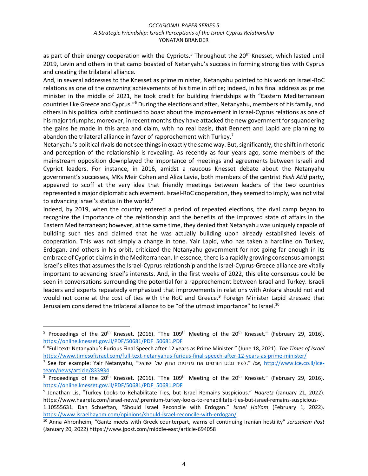as part of their energy cooperation with the Cypriots.<sup>5</sup> Throughout the 20<sup>th</sup> Knesset, which lasted until 2019, Levin and others in that camp boasted of Netanyahu's success in forming strong ties with Cyprus and creating the trilateral alliance.

And, in several addresses to the Knesset as prime minister, Netanyahu pointed to his work on Israel-RoC relations as one of the crowning achievements of his time in office; indeed, in his final address as prime minister in the middle of 2021, he took credit for building friendships with "Eastern Mediterranean countries like Greece and Cyprus."<sup>6</sup> During the elections and after, Netanyahu, members of his family, and others in his political orbit continued to boast about the improvement in Israel-Cyprus relations as one of his major triumphs; moreover, in recent months they have attacked the new government for squandering the gains he made in this area and claim, with no real basis, that Bennett and Lapid are planning to abandon the trilateral alliance in favor of rapprochement with Turkey.<sup>7</sup>

Netanyahu's political rivals do not see things in exactly the same way. But, significantly, the shift in rhetoric and perception of the relationship is revealing. As recently as four years ago, some members of the mainstream opposition downplayed the importance of meetings and agreements between Israeli and Cypriot leaders. For instance, in 2016, amidst a raucous Knesset debate about the Netanyahu government's successes, MKs Meir Cohen and Aliza Lavie, both members of the centrist *Yesh Atid* party, appeared to scoff at the very idea that friendly meetings between leaders of the two countries represented a major diplomatic achievement. Israel-RoC cooperation, they seemed to imply, was not vital to advancing Israel's status in the world.<sup>8</sup>

Indeed, by 2019, when the country entered a period of repeated elections, the rival camp began to recognize the importance of the relationship and the benefits of the improved state of affairs in the Eastern Mediterranean; however, at the same time, they denied that Netanyahu was uniquely capable of building such ties and claimed that he was actually building upon already established levels of cooperation. This was not simply a change in tone. Yair Lapid, who has taken a hardline on Turkey, Erdogan, and others in his orbit, criticized the Netanyahu government for not going far enough in its embrace of Cypriot claims in the Mediterranean. In essence, there is a rapidly growing consensus amongst Israel's elites that assumes the Israel-Cyprus relationship and the Israel-Cyprus-Greece alliance are vitally important to advancing Israel's interests. And, in the first weeks of 2022, this elite consensus could be seen in conversations surrounding the potential for a rapprochement between Israel and Turkey. Israeli leaders and experts repeatedly emphasized that improvements in relations with Ankara should not and would not come at the cost of ties with the RoC and Greece.<sup>9</sup> Foreign Minister Lapid stressed that Jerusalem considered the trilateral alliance to be "of the utmost importance" to Israel.<sup>10</sup>

<sup>&</sup>lt;sup>5</sup> Proceedings of the 20<sup>th</sup> Knesset. (2016). "The 109<sup>th</sup> Meeting of the 20<sup>th</sup> Knesset." (February 29, 2016). [https://online.knesset.gov.il/PDF/50681/PDF\\_50681.PDF](https://online.knesset.gov.il/PDF/50681/PDF_50681.PDF)

<sup>6</sup> "Full text: Netanyahu's Furious Final Speech after 12 years as Prime Minister." (June 18, 2021). *The Times of Israel* <https://www.timesofisrael.com/full-text-netanyahus-furious-final-speech-after-12-years-as-prime-minister/>

<sup>7</sup> See for example: Yair Netanyahu, "ישראל של החוץ מדיניות את הורסים ובנט לפיד. "*Ice*, [http://www.ice.co.il/ice](http://www.ice.co.il/ice-team/news/article/833934)[team/news/article/833934](http://www.ice.co.il/ice-team/news/article/833934)

 $8$  Proceedings of the 20<sup>th</sup> Knesset. (2016). "The 109<sup>th</sup> Meeting of the 20<sup>th</sup> Knesset." (February 29, 2016). [https://online.knesset.gov.il/PDF/50681/PDF\\_50681.PDF](https://online.knesset.gov.il/PDF/50681/PDF_50681.PDF)

<sup>9</sup> Jonathan Lis, "Turkey Looks to Rehabilitate Ties, but Israel Remains Suspicious." *Haaretz* (January 21, 2022). https://www.haaretz.com/israel-news/.premium-turkey-looks-to-rehabilitate-ties-but-israel-remains-suspicious-

<sup>1.105556</sup>31. Dan Schueftan, "Should Israel Reconcile with Erdogan." *Israel HaYom* (February 1, 2022). <https://www.israelhayom.com/opinions/should-israel-reconcile-with-erdogan/>

<sup>10</sup> Anna Ahronheim, "Gantz meets with Greek counterpart, warns of continuing Iranian hostility" *Jerusalem Post* (January 20, 2022) https://www.jpost.com/middle-east/article-694058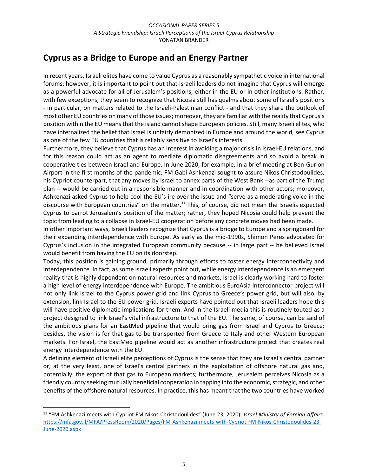## **Cyprus as a Bridge to Europe and an Energy Partner**

In recent years, Israeli elites have come to value Cyprus as a reasonably sympathetic voice in international forums; however, it is important to point out that Israeli leaders do not imagine that Cyprus will emerge as a powerful advocate for all of Jerusalem's positions, either in the EU or in other institutions. Rather, with few exceptions, they seem to recognize that Nicosia still has qualms about some of Israel's positions - in particular, on matters related to the Israeli-Palestinian conflict - and that they share the outlook of most other EU countries on many of those issues; moreover, they are familiar with the reality that Cyprus's position within the EU means that the island cannot shape European policies. Still, many Israeli elites, who have internalized the belief that Israel is unfairly demonized in Europe and around the world, see Cyprus as one of the few EU countries that is reliably sensitive to Israel's interests.

Furthermore, they believe that Cyprus has an interest in avoiding a major crisis in Israel-EU relations, and for this reason could act as an agent to mediate diplomatic disagreements and so avoid a break in cooperative ties between Israel and Europe. In June 2020, for example, in a brief meeting at Ben-Gurion Airport in the first months of the pandemic, FM Gabi Ashkenazi sought to assure Nikos Christodoulides, his Cypriot counterpart, that any moves by Israel to annex parts of the West Bank --as part of the Trump plan -- would be carried out in a responsible manner and in coordination with other actors; moreover, Ashkenazi asked Cyprus to help cool the EU's ire over the issue and "serve as a moderating voice in the discourse with European countries" on the matter.<sup>11</sup> This, of course, did not mean the Israelis expected Cyprus to parrot Jerusalem's position of the matter; rather, they hoped Nicosia could help prevent the topic from leading to a collapse in Israel-EU cooperation before any concrete moves had been made.

In other important ways, Israeli leaders recognize that Cyprus is a bridge to Europe and a springboard for their expanding interdependence with Europe. As early as the mid-1990s, Shimon Peres advocated for Cyprus's inclusion in the integrated European community because -- in large part -- he believed Israel would benefit from having the EU on its doorstep.

Today, this position is gaining ground, primarily through efforts to foster energy interconnectivity and interdependence. In fact, as some Israeli experts point out, while energy interdependence is an emergent reality that is highly dependent on natural resources and markets, Israel is clearly working hard to foster a high level of energy interdependence with Europe. The ambitious EuroAsia Interconnector project will not only link Israel to the Cyprus power grid and link Cyprus to Greece's power grid, but will also, by extension, link Israel to the EU power grid. Israeli experts have pointed out that Israeli leaders hope this will have positive diplomatic implications for them. And in the Israeli media this is routinely touted as a project designed to link Israel's vital infrastructure to that of the EU. The same, of course, can be said of the ambitious plans for an EastMed pipeline that would bring gas from Israel and Cyprus to Greece; besides, the vision is for that gas to be transported from Greece to Italy and other Western European markets. For Israel, the EastMed pipeline would act as another infrastructure project that creates real energy interdependence with the EU.

A defining element of Israeli elite perceptions of Cyprus is the sense that they are Israel's central partner or, at the very least, one of Israel's central partners in the exploitation of offshore natural gas and, potentially, the export of that gas to European markets; furthermore, Jerusalem perceives Nicosia as a friendly country seeking mutually beneficial cooperation in tapping into the economic, strategic, and other benefits of the offshore natural resources. In practice, this has meant that the two countries have worked

<sup>11</sup> "FM Ashkenazi meets with Cypriot FM Nikos Christodoulides" (June 23, 2020). *Israel Ministry of Foreign Affairs*. [https://mfa.gov.il/MFA/PressRoom/2020/Pages/FM-Ashkenazi-meets-with-Cypriot-FM-Nikos-Christodoulides-23-](https://mfa.gov.il/MFA/PressRoom/2020/Pages/FM-Ashkenazi-meets-with-Cypriot-FM-Nikos-Christodoulides-23-June-2020.aspx) [June-2020.aspx](https://mfa.gov.il/MFA/PressRoom/2020/Pages/FM-Ashkenazi-meets-with-Cypriot-FM-Nikos-Christodoulides-23-June-2020.aspx)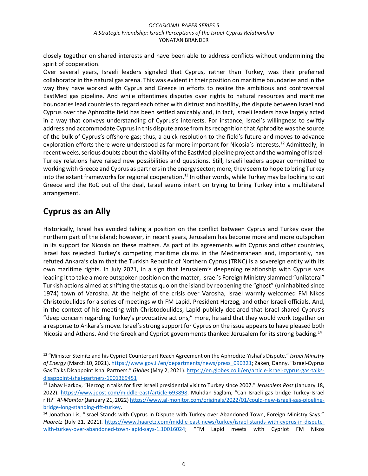closely together on shared interests and have been able to address conflicts without undermining the spirit of cooperation.

Over several years, Israeli leaders signaled that Cyprus, rather than Turkey, was their preferred collaborator in the natural gas arena. This was evident in their position on maritime boundaries and in the way they have worked with Cyprus and Greece in efforts to realize the ambitious and controversial EastMed gas pipeline. And while oftentimes disputes over rights to natural resources and maritime boundaries lead countries to regard each other with distrust and hostility, the dispute between Israel and Cyprus over the Aphrodite field has been settled amicably and, in fact, Israeli leaders have largely acted in a way that conveys understanding of Cyprus's interests. For instance, Israel's willingness to swiftly address and accommodate Cyprus in this dispute arose from its recognition that Aphrodite was the source of the bulk of Cyprus's offshore gas; thus, a quick resolution to the field's future and moves to advance exploration efforts there were understood as far more important for Nicosia's interests.<sup>12</sup> Admittedly, in recent weeks, serious doubts about the viability of the EastMed pipeline project and the warming of Israel-Turkey relations have raised new possibilities and questions. Still, Israeli leaders appear committed to working with Greece and Cyprus as partners in the energy sector; more, they seem to hope to bring Turkey into the extant frameworks for regional cooperation.<sup>13</sup> In other words, while Turkey may be looking to cut Greece and the RoC out of the deal, Israel seems intent on trying to bring Turkey into a multilateral arrangement.

# **Cyprus as an Ally**

Historically, Israel has avoided taking a position on the conflict between Cyprus and Turkey over the northern part of the island; however, in recent years, Jerusalem has become more and more outspoken in its support for Nicosia on these matters. As part of its agreements with Cyprus and other countries, Israel has rejected Turkey's competing maritime claims in the Mediterranean and, importantly, has refuted Ankara's claim that the Turkish Republic of Northern Cyprus (TRNC) is a sovereign entity with its own maritime rights. In July 2021, in a sign that Jerusalem's deepening relationship with Cyprus was leading it to take a more outspoken position on the matter, Israel's Foreign Ministry slammed "unilateral" Turkish actions aimed at shifting the status quo on the island by reopening the "ghost" (uninhabited since 1974) town of Varosha. At the height of the crisis over Varosha, Israel warmly welcomed FM Nikos Christodoulides for a series of meetings with FM Lapid, President Herzog, and other Israeli officials. And, in the context of his meeting with Christodoulides, Lapid publicly declared that Israel shared Cyprus's "deep concern regarding Turkey's provocative actions;" more, he said that they would work together on a response to Ankara's move. Israel's strong support for Cyprus on the issue appears to have pleased both Nicosia and Athens. And the Greek and Cypriot governments thanked Jerusalem for its strong backing.<sup>14</sup>

<sup>12</sup> "Minister Steinitz and his Cypriot Counterpart Reach Agreement on the Aphrodite-Yishai's Dispute." *Israel Ministry of Energy* (March 10, 2021)[. https://www.gov.il/en/departments/news/press\\_090321](https://www.gov.il/en/departments/news/press_090321); Zaken, Danny. "Israel-Cyprus Gas Talks Disappoint Ishai Partners." *Globes* (May 2, 2021). [https://en.globes.co.il/en/article-israel-cyprus-gas-talks](https://en.globes.co.il/en/article-israel-cyprus-gas-talks-disappoint-ishai-partners-1001369451)[disappoint-ishai-partners-1001369451](https://en.globes.co.il/en/article-israel-cyprus-gas-talks-disappoint-ishai-partners-1001369451)

<sup>13</sup> Lahav Harkov, "Herzog in talks for first Israeli presidential visit to Turkey since 2007." *Jerusalem Post* (January 18, 2022).<https://www.jpost.com/middle-east/article-693898>. Muhdan Saglam, "Can Israeli gas bridge Turkey-Israel rift?" *Al-Monitor* (January 21, 2022[\) https://www.al-monitor.com/originals/2022/01/could-new-israeli-gas-pipeline](https://www.al-monitor.com/originals/2022/01/could-new-israeli-gas-pipeline-bridge-long-standing-rift-turkey)[bridge-long-standing-rift-turkey.](https://www.al-monitor.com/originals/2022/01/could-new-israeli-gas-pipeline-bridge-long-standing-rift-turkey)

<sup>&</sup>lt;sup>14</sup> Jonathan Lis, "Israel Stands with Cyprus in Dispute with Turkey over Abandoned Town, Foreign Ministry Says." *Haaretz* (July 21, 2021). [https://www.haaretz.com/middle-east-news/turkey/israel-stands-with-cyprus-in-dispute](https://www.haaretz.com/middle-east-news/turkey/israel-stands-with-cyprus-in-dispute-with-turkey-over-abandoned-town-lapid-says-1.10016024)[with-turkey-over-abandoned-town-lapid-says-1.10016024](https://www.haaretz.com/middle-east-news/turkey/israel-stands-with-cyprus-in-dispute-with-turkey-over-abandoned-town-lapid-says-1.10016024); "FM Lapid meets with Cypriot FM Nikos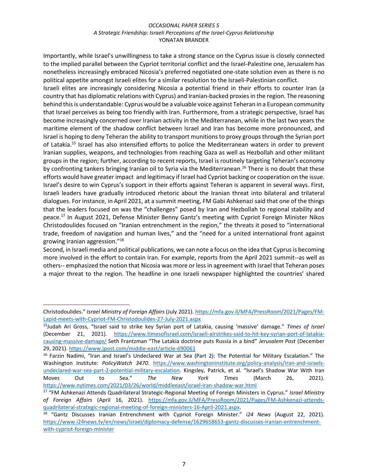Importantly, while Israel's unwillingness to take a strong stance on the Cyprus issue is closely connected to the implied parallel between the Cypriot territorial conflict and the Israel-Palestine one, Jerusalem has nonetheless increasingly embraced Nicosia's preferred negotiated one-state solution even as there is no political appetite amongst Israeli elites for a similar resolution to the Israeli-Palestinian conflict.

Israeli elites are increasingly considering Nicosia a potential friend in their efforts to counter Iran (a country that has diplomatic relations with Cyprus) and Iranian-backed proxies in the region. The reasoning behind this is understandable: Cyprus would be a valuable voice against Teheran in a European community that Israel perceives as being too friendly with Iran. Furthermore, from a strategic perspective, Israel has become increasingly concerned over Iranian activity in the Mediterranean, while in the last two years the maritime element of the shadow conflict between Israel and Iran has become more pronounced, and Israel is hoping to deny Teheran the ability to transport munitions to proxy groups through the Syrian port of Latakia.<sup>15</sup> Israel has also intensified efforts to police the Mediterranean waters in order to prevent Iranian supplies, weapons, and technologies from reaching Gaza as well as Hezbollah and other militant groups in the region; further, according to recent reports, Israel is routinely targeting Teheran's economy by confronting tankers bringing Iranian oil to Syria via the Mediterranean.<sup>16</sup> There is no doubt that these efforts would have greater impact and legitimacy if Israel had Cypriot backing or cooperation on the issue. Israel's desire to win Cyprus's support in their efforts against Teheran is apparent in several ways. First, Israeli leaders have gradually introduced rhetoric about the Iranian threat into bilateral and trilateral dialogues. For instance, in April 2021, at a summit meeting, FM Gabi Ashkenazi said that one of the things that the leaders focused on was the "challenges" posed by Iran and Hezbollah to regional stability and peace.<sup>17</sup> In August 2021, Defense Minister Benny Gantz's meeting with Cypriot Foreign Minister Nikos Christodoulides focused on "Iranian entrenchment in the region," the threats it posed to "international trade, freedom of navigation and human lives," and the "need for a united international front against growing Iranian aggression."<sup>18</sup>

Second, in Israeli media and political publications, we can note a focus on the idea that Cyprus is becoming more involved in the effort to contain Iran. For example, reports from the April 2021 summit--as well as others-- emphasized the notion that Nicosia was more or less in agreement with Israel that Teheran poses a major threat to the region. The headline in one Israeli newspaper highlighted the countries' shared

Christodoulides." *Israel Ministry of Foreign Affairs* (July 2021). [https://mfa.gov.il/MFA/PressRoom/2021/Pages/FM-](https://mfa.gov.il/MFA/PressRoom/2021/Pages/FM-Lapid-meets-with-Cypriot-FM-Christodoulides-27-July-2021.aspx)[Lapid-meets-with-Cypriot-FM-Christodoulides-27-July-2021.aspx](https://mfa.gov.il/MFA/PressRoom/2021/Pages/FM-Lapid-meets-with-Cypriot-FM-Christodoulides-27-July-2021.aspx)

<sup>15</sup>Judah Ari Gross, "Israel said to strike key Syrian port of Latakia, causing 'massive' damage." *Times of Israel* (December 21, 2021). [https://www.timesofisrael.com/israeli-airstrikes-said-to-hit-key-syrian-port-of-latakia](https://www.timesofisrael.com/israeli-airstrikes-said-to-hit-key-syrian-port-of-latakia-causing-massive-damage/)[causing-massive-damage/](https://www.timesofisrael.com/israeli-airstrikes-said-to-hit-key-syrian-port-of-latakia-causing-massive-damage/) Seth Frantzman "The Latakia doctrine puts Russia in a bind" *Jerusalem Post* (December 29, 2021).<https://www.jpost.com/middle-east/article-690061>

<sup>&</sup>lt;sup>16</sup> Farzin Nadimi, "Iran and Israel's Undeclared War at Sea (Part 2): The Potential for Military Escalation." The Washington Institute: *PolicyWatch 3470*. [https://www.washingtoninstitute.org/policy-analysis/iran-and-israels](https://www.washingtoninstitute.org/policy-analysis/iran-and-israels-undeclared-war-sea-part-2-potential-military-escalation)[undeclared-war-sea-part-2-potential-military-escalation](https://www.washingtoninstitute.org/policy-analysis/iran-and-israels-undeclared-war-sea-part-2-potential-military-escalation). Kingsley, Patrick, et al. "Israel's Shadow War With Iran Moves Out to Sea." *The New York Times* (March 26, 2021). <https://www.nytimes.com/2021/03/26/world/middleeast/israel-iran-shadow-war.html>

<sup>17</sup> "FM Ashkenazi Attends Quadrilateral Strategic-Regional Meeting of Foreign Ministers in Cyprus." *Israel Ministry of Foreign Affairs* (April 16, 2021). [https://mfa.gov.il/MFA/PressRoom/2021/Pages/FM-Ashkenazi-attends](https://mfa.gov.il/MFA/PressRoom/2021/Pages/FM-Ashkenazi-attends-quadrilateral-strategic-regional-meeting-of-foreign-ministers-16-April-2021.aspx)[quadrilateral-strategic-regional-meeting-of-foreign-ministers-16-April-2021.aspx.](https://mfa.gov.il/MFA/PressRoom/2021/Pages/FM-Ashkenazi-attends-quadrilateral-strategic-regional-meeting-of-foreign-ministers-16-April-2021.aspx)

<sup>18</sup> "Gantz Discusses Iranian Entrenchment with Cypriot Foreign Minister." *i24 News* (August 22, 2021). [https://www.i24news.tv/en/news/israel/diplomacy-defense/1629658653-gantz-discusses-iranian-entrenchment](https://www.i24news.tv/en/news/israel/diplomacy-defense/1629658653-gantz-discusses-iranian-entrenchment-with-cypriot-foreign-minister)[with-cypriot-foreign-minister](https://www.i24news.tv/en/news/israel/diplomacy-defense/1629658653-gantz-discusses-iranian-entrenchment-with-cypriot-foreign-minister)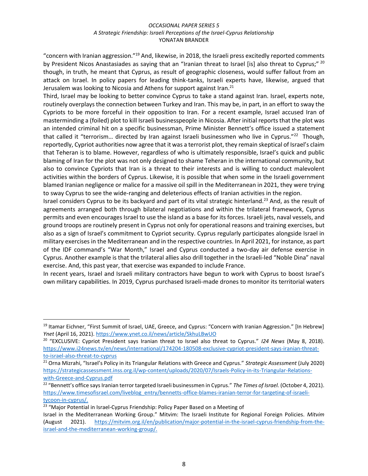"concern with Iranian aggression."<sup>19</sup> And, likewise, in 2018, the Israeli press excitedly reported comments by President Nicos Anastasiades as saying that an "Iranian threat to Israel [is] also threat to Cyprus;" <sup>20</sup> though, in truth, he meant that Cyprus, as result of geographic closeness, would suffer fallout from an attack on Israel. In policy papers for leading think-tanks, Israeli experts have, likewise, argued that Jerusalem was looking to Nicosia and Athens for support against Iran.<sup>21</sup>

Third, Israel may be looking to better convince Cyprus to take a stand against Iran. Israel, experts note, routinely overplays the connection between Turkey and Iran. This may be, in part, in an effort to sway the Cypriots to be more forceful in their opposition to Iran. For a recent example, Israel accused Iran of masterminding a (foiled) plot to kill Israeli businesspeople in Nicosia. After initial reports that the plot was an intended criminal hit on a specific businessman, Prime Minister Bennett's office issued a statement that called it "terrorism... directed by Iran against Israeli businessmen who live in Cyprus."<sup>22</sup> Though, reportedly, Cypriot authorities now agree that it was a terrorist plot, they remain skeptical of Israel's claim that Teheran is to blame. However, regardless of who is ultimately responsible, Israel's quick and public blaming of Iran for the plot was not only designed to shame Teheran in the international community, but also to convince Cypriots that Iran is a threat to their interests and is willing to conduct malevolent activities within the borders of Cyprus. Likewise, it is possible that when some in the Israeli government blamed Iranian negligence or malice for a massive oil spill in the Mediterranean in 2021, they were trying to sway Cyprus to see the wide-ranging and deleterious effects of Iranian activities in the region.

Israel considers Cyprus to be its backyard and part of its vital strategic hinterland.<sup>23</sup> And, as the result of agreements arranged both through bilateral negotiations and within the trilateral framework, Cyprus permits and even encourages Israel to use the island as a base for its forces. Israeli jets, naval vessels, and ground troops are routinely present in Cyprus not only for operational reasons and training exercises, but also as a sign of Israel's commitment to Cypriot security. Cyprus regularly participates alongside Israel in military exercises in the Mediterranean and in the respective countries. In April 2021, for instance, as part of the IDF command's "War Month," Israel and Cyprus conducted a two-day air defense exercise in Cyprus. Another example is that the trilateral allies also drill together in the Israeli-led "Noble Dina" naval exercise. And, this past year, that exercise was expanded to include France.

In recent years, Israel and Israeli military contractors have begun to work with Cyprus to boost Israel's own military capabilities. In 2019, Cyprus purchased Israeli-made drones to monitor its territorial waters

<sup>19</sup> Itamar Eichner, "First Summit of Israel, UAE, Greece, and Cyprus: "Concern with Iranian Aggression." [In Hebrew] *Ynet* (April 16, 2021).<https://www.ynet.co.il/news/article/SkhuLBwUO>

<sup>20</sup> "EXCLUSIVE: Cypriot President says Iranian threat to Israel also threat to Cyprus." *I24 News* (May 8, 2018). [https://www.i24news.tv/en/news/international/174204-180508-exclusive-cypriot-president-says-iranian-threat](https://www.i24news.tv/en/news/international/174204-180508-exclusive-cypriot-president-says-iranian-threat-to-israel-also-threat-to-cyprus)[to-israel-also-threat-to-cyprus](https://www.i24news.tv/en/news/international/174204-180508-exclusive-cypriot-president-says-iranian-threat-to-israel-also-threat-to-cyprus)

<sup>21</sup> Orna Mizrahi, "Israel's Policy in its Triangular Relations with Greece and Cyprus." *Strategic Assessment* (July 2020) [https://strategicassessment.inss.org.il/wp-content/uploads/2020/07/Israels-Policy-in-its-Triangular-Relations](https://strategicassessment.inss.org.il/wp-content/uploads/2020/07/Israels-Policy-in-its-Triangular-Relations-with-Greece-and-Cyprus.pdf)[with-Greece-and-Cyprus.pdf](https://strategicassessment.inss.org.il/wp-content/uploads/2020/07/Israels-Policy-in-its-Triangular-Relations-with-Greece-and-Cyprus.pdf)

<sup>22</sup> "Bennett's office says Iranian terror targeted Israeli businessmen in Cyprus." *The Times of Israel.* (October 4, 2021). [https://www.timesofisrael.com/liveblog\\_entry/bennetts-office-blames-iranian-terror-for-targeting-of-israeli](https://www.timesofisrael.com/liveblog_entry/bennetts-office-blames-iranian-terror-for-targeting-of-israeli-tycoon-in-cyprus/)[tycoon-in-cyprus/.](https://www.timesofisrael.com/liveblog_entry/bennetts-office-blames-iranian-terror-for-targeting-of-israeli-tycoon-in-cyprus/)

<sup>&</sup>lt;sup>23</sup> "Major Potential in Israel-Cyprus Friendship: Policy Paper Based on a Meeting of

Israel in the Mediterranean Working Group." Mitvim: The Israeli Institute for Regional Foreign Policies. *Mitvim*  (August 2021). [https://mitvim.org.il/en/publication/major-potential-in-the-israel-cyprus-friendship-from-the](https://mitvim.org.il/en/publication/major-potential-in-the-israel-cyprus-friendship-from-the-israel-and-the-mediterranean-working-group/)[israel-and-the-mediterranean-working-group/.](https://mitvim.org.il/en/publication/major-potential-in-the-israel-cyprus-friendship-from-the-israel-and-the-mediterranean-working-group/)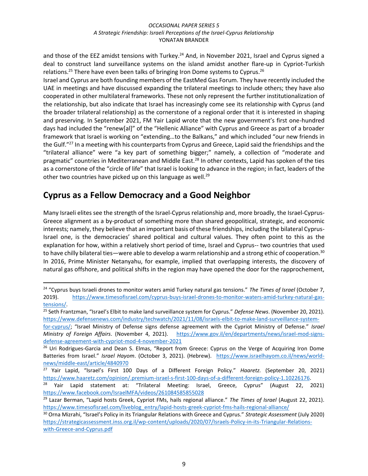and those of the EEZ amidst tensions with Turkey.<sup>24</sup> And, in November 2021, Israel and Cyprus signed a deal to construct land surveillance systems on the island amidst another flare-up in Cypriot-Turkish relations.<sup>25</sup> There have even been talks of bringing Iron Dome systems to Cyprus.<sup>26</sup>

Israel and Cyprus are both founding members of the EastMed Gas Forum. They have recently included the UAE in meetings and have discussed expanding the trilateral meetings to include others; they have also cooperated in other multilateral frameworks. These not only represent the further institutionalization of the relationship, but also indicate that Israel has increasingly come see its relationship with Cyprus (and the broader trilateral relationship) as the cornerstone of a regional order that it is interested in shaping and preserving. In September 2021, FM Yair Lapid wrote that the new government's first one-hundred days had included the "renew[al]" of the "Hellenic Alliance" with Cyprus and Greece as part of a broader framework that Israel is working on "extending…to the Balkans," and which included "our new friends in the Gulf."<sup>27</sup> In a meeting with his counterparts from Cyprus and Greece, Lapid said the friendships and the "trilateral alliance" were "a key part of something bigger;" namely, a collection of "moderate and pragmatic" countries in Mediterranean and Middle East.<sup>28</sup> In other contexts, Lapid has spoken of the ties as a cornerstone of the "circle of life" that Israel is looking to advance in the region; in fact, leaders of the other two countries have picked up on this language as well.<sup>29</sup>

### **Cyprus as a Fellow Democracy and a Good Neighbor**

Many Israeli elites see the strength of the Israel-Cyprus relationship and, more broadly, the Israel-Cyprus-Greece alignment as a by-product of something more than shared geopolitical, strategic, and economic interests; namely, they believe that an important basis of these friendships, including the bilateral Cyprus-Israel one, is the democracies' shared political and cultural values. They often point to this as the explanation for how, within a relatively short period of time, Israel and Cyprus-- two countries that used to have chilly bilateral ties—were able to develop a warm relationship and a strong ethic of cooperation.<sup>30</sup> In 2016, Prime Minister Netanyahu, for example, implied that overlapping interests, the discovery of natural gas offshore, and political shifts in the region may have opened the door for the rapprochement,

<sup>24</sup> "Cyprus buys Israeli drones to monitor waters amid Turkey natural gas tensions." *The Times of Israel* (October 7, 2019). [https://www.timesofisrael.com/cyprus-buys-israel-drones-to-monitor-waters-amid-turkey-natural-gas](https://www.timesofisrael.com/cyprus-buys-israel-drones-to-monitor-waters-amid-turkey-natural-gas-tensions/)[tensions/.](https://www.timesofisrael.com/cyprus-buys-israel-drones-to-monitor-waters-amid-turkey-natural-gas-tensions/)

<sup>25</sup> Seth Frantzman, "Israel's Elbit to make land surveillance system for Cyprus." *Defense News*. (November 20, 2021). [https://www.defensenews.com/industry/techwatch/2021/11/08/israels-elbit-to-make-land-surveillance-system-](https://www.defensenews.com/industry/techwatch/2021/11/08/israels-elbit-to-make-land-surveillance-system-for-cyprus/)

[for-cyprus/](https://www.defensenews.com/industry/techwatch/2021/11/08/israels-elbit-to-make-land-surveillance-system-for-cyprus/); "Israel Ministry of Defense signs defense agreement with the Cypriot Ministry of Defense." *Israel Ministry of Foreign Affairs*. (November 4, 2021). [https://www.gov.il/en/departments/news/israel-mod-signs](https://www.gov.il/en/departments/news/israel-mod-signs-defense-agreement-with-cypriot-mod-4-november-2021)[defense-agreement-with-cypriot-mod-4-november-2021](https://www.gov.il/en/departments/news/israel-mod-signs-defense-agreement-with-cypriot-mod-4-november-2021)

<sup>&</sup>lt;sup>26</sup> Uri Rodrigues-Garcia and Dean S. Elmas, "Report from Greece: Cyprus on the Verge of Acquiring Iron Dome Batteries from Israel." *Israel Hayom*. (October 3, 2021). (Hebrew). [https://www.israelhayom.co.il/news/world](https://www.israelhayom.co.il/news/world-news/middle-east/article/4840970)[news/middle-east/article/4840970](https://www.israelhayom.co.il/news/world-news/middle-east/article/4840970)

<sup>27</sup> Yair Lapid, "Israel's First 100 Days of a Different Foreign Policy." *Haaretz.* (September 20, 2021) [https://www.haaretz.com/opinion/.premium-israel-s-first-100-days-of-a-different-foreign-policy-1.10226176.](https://www.haaretz.com/opinion/.premium-israel-s-first-100-days-of-a-different-foreign-policy-1.10226176)

<sup>28</sup> Yair Lapid statement at: "Trilateral Meeting: Israel, Greece, Cyprus" (August 22, 2021) <https://www.facebook.com/IsraelMFA/videos/261084585855028>

<sup>29</sup> Lazar Berman, "Lapid hosts Greek, Cypriot FMs, hails regional alliance." *The Times of Israel* (August 22, 2021). [https://www.timesofisrael.com/liveblog\\_entry/lapid-hosts-greek-cypriot-fms-hails-regional-alliance/](https://www.timesofisrael.com/liveblog_entry/lapid-hosts-greek-cypriot-fms-hails-regional-alliance/)

<sup>30</sup> Orna Mizrahi, "Israel's Policy in its Triangular Relations with Greece and Cyprus." *Strategic Assessment* (July 2020) [https://strategicassessment.inss.org.il/wp-content/uploads/2020/07/Israels-Policy-in-its-Triangular-Relations](https://strategicassessment.inss.org.il/wp-content/uploads/2020/07/Israels-Policy-in-its-Triangular-Relations-with-Greece-and-Cyprus.pdf)[with-Greece-and-Cyprus.pdf](https://strategicassessment.inss.org.il/wp-content/uploads/2020/07/Israels-Policy-in-its-Triangular-Relations-with-Greece-and-Cyprus.pdf)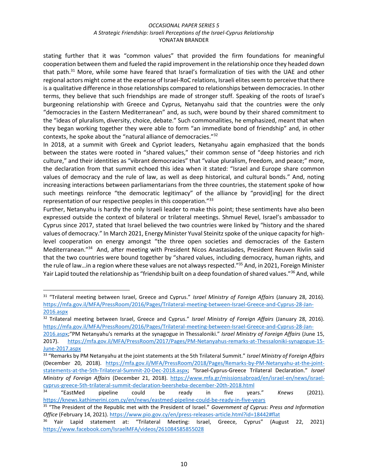stating further that it was "common values" that provided the firm foundations for meaningful cooperation between them and fueled the rapid improvement in the relationship once they headed down that path.<sup>31</sup> More, while some have feared that Israel's formalization of ties with the UAE and other regional actors might come at the expense of Israel-RoC relations, Israeli elites seem to perceive that there is a qualitative difference in those relationships compared to relationships between democracies. In other terms, they believe that such friendships are made of stronger stuff. Speaking of the roots of Israel's burgeoning relationship with Greece and Cyprus, Netanyahu said that the countries were the only "democracies in the Eastern Mediterranean" and, as such, were bound by their shared commitment to the "ideas of pluralism, diversity, choice, debate." Such commonalities, he emphasized, meant that when they began working together they were able to form "an immediate bond of friendship" and, in other contexts, he spoke about the "natural alliance of democracies."<sup>32</sup>

In 2018, at a summit with Greek and Cypriot leaders, Netanyahu again emphasized that the bonds between the states were rooted in "shared values," their common sense of "deep histories and rich culture," and their identities as "vibrant democracies" that "value pluralism, freedom, and peace;" more, the declaration from that summit echoed this idea when it stated: "Israel and Europe share common values of democracy and the rule of law, as well as deep historical, and cultural bonds." And, noting increasing interactions between parliamentarians from the three countries, the statement spoke of how such meetings reinforce "the democratic legitimacy" of the alliance by "provid[ing] for the direct representation of our respective peoples in this cooperation."<sup>33</sup>

Further, Netanyahu is hardly the only Israeli leader to make this point; these sentiments have also been expressed outside the context of bilateral or trilateral meetings. Shmuel Revel, Israel's ambassador to Cyprus since 2017, stated that Israel believed the two countries were linked by "history and the shared values of democracy." In March 2021, Energy Minister Yuval Steinitz spoke of the unique capacity for highlevel cooperation on energy amongst "the three open societies and democracies of the Eastern Mediterranean."<sup>34</sup> And, after meeting with President Nicos Anastasiades, President Reuven Rivlin said that the two countries were bound together by "shared values, including democracy, human rights, and the rule of law…in a region where these values are not always respected."<sup>35</sup> And, in 2021, Foreign Minister Yair Lapid touted the relationship as "friendship built on a deep foundation of shared values."<sup>36</sup> And, while

<sup>31</sup> "Trilateral meeting between Israel, Greece and Cyprus." *Israel Ministry of Foreign Affairs* (January 28, 2016). [https://mfa.gov.il/MFA/PressRoom/2016/Pages/Trilateral-meeting-between-Israel-Greece-and-Cyprus-28-Jan-](https://mfa.gov.il/MFA/PressRoom/2016/Pages/Trilateral-meeting-between-Israel-Greece-and-Cyprus-28-Jan-2016.aspx)[2016.aspx](https://mfa.gov.il/MFA/PressRoom/2016/Pages/Trilateral-meeting-between-Israel-Greece-and-Cyprus-28-Jan-2016.aspx) 

<sup>32</sup> Trilateral meeting between Israel, Greece and Cyprus." *Israel Ministry of Foreign Affairs* (January 28, 2016). [https://mfa.gov.il/MFA/PressRoom/2016/Pages/Trilateral-meeting-between-Israel-Greece-and-Cyprus-28-Jan-](https://mfa.gov.il/MFA/PressRoom/2016/Pages/Trilateral-meeting-between-Israel-Greece-and-Cyprus-28-Jan-2016.aspx)

[<sup>2016.</sup>aspx](https://mfa.gov.il/MFA/PressRoom/2016/Pages/Trilateral-meeting-between-Israel-Greece-and-Cyprus-28-Jan-2016.aspx);"PM Netanyahu's remarks at the synagogue in Thessaloniki." *Israel Ministry of Foreign Affairs* (June 15, 2017). [https://mfa.gov.il/MFA/PressRoom/2017/Pages/PM-Netanyahus-remarks-at-Thessaloniki-synagogue-15-](https://mfa.gov.il/MFA/PressRoom/2017/Pages/PM-Netanyahus-remarks-at-Thessaloniki-synagogue-15-June-2017.aspx) [June-2017.aspx](https://mfa.gov.il/MFA/PressRoom/2017/Pages/PM-Netanyahus-remarks-at-Thessaloniki-synagogue-15-June-2017.aspx)

<sup>33</sup> "Remarks by PM Netanyahu at the joint statements at the 5th Trilateral Summit." *Israel Ministry of Foreign Affairs* (December 20, 2018). [https://mfa.gov.il/MFA/PressRoom/2018/Pages/Remarks-by-PM-Netanyahu-at-the-joint](https://mfa.gov.il/MFA/PressRoom/2018/Pages/Remarks-by-PM-Netanyahu-at-the-joint-statements-at-the-5th-Trilateral-Summit-20-Dec-2018.aspx)[statements-at-the-5th-Trilateral-Summit-20-Dec-2018.aspx](https://mfa.gov.il/MFA/PressRoom/2018/Pages/Remarks-by-PM-Netanyahu-at-the-joint-statements-at-the-5th-Trilateral-Summit-20-Dec-2018.aspx); "Israel-Cyprus-Greece Trilateral Declaration." *Israel Ministry of Foreign Affairs* (December 21, 2018). [https://www.mfa.gr/missionsabroad/en/israel-en/news/israel](https://www.mfa.gr/missionsabroad/en/israel-en/news/israel-cyprus-greece-5th-trilateral-summit-declaration-beersheba-december-20th-2018.html)[cyprus-greece-5th-trilateral-summit-declaration-beersheba-december-20th-2018.html](https://www.mfa.gr/missionsabroad/en/israel-en/news/israel-cyprus-greece-5th-trilateral-summit-declaration-beersheba-december-20th-2018.html)

<sup>34</sup> "EastMed pipeline could be ready in five years." *Knews* (2021). <https://knews.kathimerini.com.cy/en/news/eastmed-pipeline-could-be-ready-in-five-years>

<sup>35</sup> "The President of the Republic met with the President of Israel." *Government of Cyprus: Press and Information Office* (February 14, 2021).<https://www.pio.gov.cy/en/press-releases-article.html?id=18442#flat>

<sup>&</sup>lt;sup>36</sup> Yair Lapid statement at: "Trilateral Meeting: Israel, Greece, Cyprus" (August 22, 2021) <https://www.facebook.com/IsraelMFA/videos/261084585855028>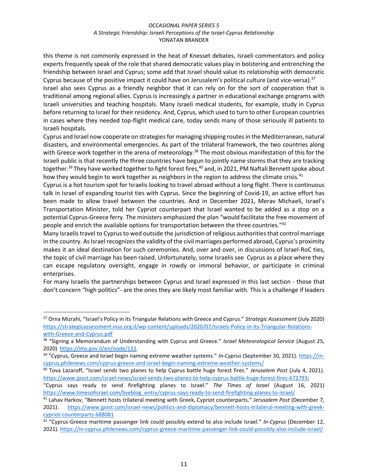this theme is not commonly expressed in the heat of Knesset debates, Israeli commentators and policy experts frequently speak of the role that shared democratic values play in bolstering and entrenching the friendship between Israel and Cyprus; some add that Israel should value its relationship with democratic Cyprus because of the positive impact it could have on Jerusalem's political culture (and vice-versa).<sup>37</sup>

Israel also sees Cyprus as a friendly neighbor that it can rely on for the sort of cooperation that is traditional among regional allies. Cyprus is increasingly a partner in educational exchange programs with Israeli universities and teaching hospitals. Many Israeli medical students, for example, study in Cyprus before returning to Israel for their residency. And, Cyprus, which used to turn to other European countries in cases where they needed top-flight medical care, today sends many of those seriously ill patients to Israeli hospitals.

Cyprus and Israel now cooperate on strategies for managing shipping routes in the Mediterranean, natural disasters, and environmental emergencies. As part of the trilateral framework, the two countries along with Greece work together in the arena of meteorology.<sup>38</sup> The most obvious manifestation of this for the Israeli public is that recently the three countries have begun to jointly name storms that they are tracking together.<sup>39</sup> They have worked together to fight forest fires,<sup>40</sup> and, in 2021, PM Naftali Bennett spoke about how they would begin to work together as neighbors in the region to address the climate crisis.<sup>41</sup>

Cyprus is a hot tourism spot for Israelis looking to travel abroad without a long flight. There is continuous talk in Israel of expanding tourist ties with Cyprus. Since the beginning of Covid-19, an active effort has been made to allow travel between the countries. And in December 2021, Merav Michaeli, Israel's Transportation Minister, told her Cypriot counterpart that Israel wanted to be added as a stop on a potential Cyprus-Greece ferry. The ministers emphasized the plan "would facilitate the free movement of people and enrich the available options for transportation between the three countries."<sup>42</sup>

Many Israelis travel to Cyprus to wed outside the jurisdiction of religious authorities that control marriage in the country. As Israel recognizes the validity of the civil marriages performed abroad, Cyprus's proximity makes it an ideal destination for such ceremonies. And, over and over, in discussions of Israel-RoC ties, the topic of civil marriage has been raised. Unfortunately, some Israelis see Cyprus as a place where they can escape regulatory oversight, engage in rowdy or immoral behavior, or participate in criminal enterprises.

For many Israelis the partnerships between Cyprus and Israel expressed in this last section - those that don't concern "high politics"- are the ones they are likely most familiar with. This is a challenge if leaders

<sup>37</sup> Orna Mizrahi, "Israel's Policy in its Triangular Relations with Greece and Cyprus." *Strategic Assessment* (July 2020) [https://strategicassessment.inss.org.il/wp-content/uploads/2020/07/Israels-Policy-in-its-Triangular-Relations](https://strategicassessment.inss.org.il/wp-content/uploads/2020/07/Israels-Policy-in-its-Triangular-Relations-with-Greece-and-Cyprus.pdf)[with-Greece-and-Cyprus.pdf](https://strategicassessment.inss.org.il/wp-content/uploads/2020/07/Israels-Policy-in-its-Triangular-Relations-with-Greece-and-Cyprus.pdf)

<sup>38</sup> "Signing a Memorandum of Understanding with Cyprus and Greece." *Israel Meteorological Service* (August 25, 2020) [https://ims.gov.il/en/node/131.](https://ims.gov.il/en/node/131) 

<sup>39</sup> "Cyprus, Greece and Israel begin naming extreme weather systems." *In-Cyprus* (September 30, 2021). [https://in](https://in-cyprus.philenews.com/cyprus-greece-and-israel-begin-naming-extreme-weather-systems/)[cyprus.philenews.com/cyprus-greece-and-israel-begin-naming-extreme-weather-systems/](https://in-cyprus.philenews.com/cyprus-greece-and-israel-begin-naming-extreme-weather-systems/)

<sup>40</sup> Tova Lazaroff, "Israel sends two planes to help Cyprus battle huge forest fires." *Jerusalem Post* (July 4, 2021). [https://www.jpost.com/israel-news/israel-sends-two-planes-to-help-cyprus-battle-huge-forest-fires-672793;](https://www.jpost.com/israel-news/israel-sends-two-planes-to-help-cyprus-battle-huge-forest-fires-672793)

<sup>&</sup>quot;Cyprus says ready to send firefighting planes to Israel." *The Times of Israel* (August 16, 2021) [https://www.timesofisrael.com/liveblog\\_entry/cyprus-says-ready-to-send-firefighting-planes-to-israel/](https://www.timesofisrael.com/liveblog_entry/cyprus-says-ready-to-send-firefighting-planes-to-israel/)

<sup>41</sup> Lahav Harkov, "Bennett hosts trilateral meeting with Greek, Cypriot counterparts." *Jerusalem Post* (December 7, 2021). [https://www.jpost.com/israel-news/politics-and-diplomacy/bennett-hosts-trilateral-meeting-with-greek](https://www.jpost.com/israel-news/politics-and-diplomacy/bennett-hosts-trilateral-meeting-with-greek-cypriot-counterparts-688081)[cypriot-counterparts-688081](https://www.jpost.com/israel-news/politics-and-diplomacy/bennett-hosts-trilateral-meeting-with-greek-cypriot-counterparts-688081)

<sup>42</sup> "Cyprus-Greece maritime passenger link could possibly extend to also include Israel." *In-Cyprus* (December 12, 2021).<https://in-cyprus.philenews.com/cyprus-greece-maritime-passenger-link-could-possibly-also-include-israel/>